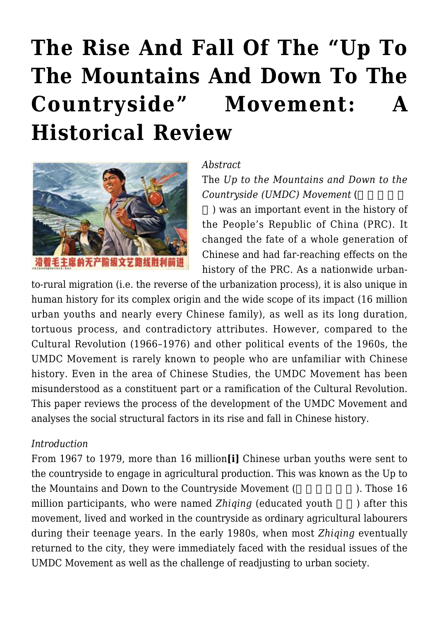# **[The Rise And Fall Of The "Up To](https://rozenbergquarterly.com/the-rise-and-fall-of-the-up-to-the-mountains-and-down-to-the-countryside-movement-a-historical-review/) [The Mountains And Down To The](https://rozenbergquarterly.com/the-rise-and-fall-of-the-up-to-the-mountains-and-down-to-the-countryside-movement-a-historical-review/)** Countryside" Movement: **[Historical Review](https://rozenbergquarterly.com/the-rise-and-fall-of-the-up-to-the-mountains-and-down-to-the-countryside-movement-a-historical-review/)**



#### *Abstract*

The *Up to the Mountains and Down to the Countryside (UMDC) Movement* (

) was an important event in the history of the People's Republic of China (PRC). It changed the fate of a whole generation of Chinese and had far-reaching effects on the history of the PRC. As a nationwide urban-

to-rural migration (i.e. the reverse of the urbanization process), it is also unique in human history for its complex origin and the wide scope of its impact (16 million urban youths and nearly every Chinese family), as well as its long duration, tortuous process, and contradictory attributes. However, compared to the Cultural Revolution (1966–1976) and other political events of the 1960s, the UMDC Movement is rarely known to people who are unfamiliar with Chinese history. Even in the area of Chinese Studies, the UMDC Movement has been misunderstood as a constituent part or a ramification of the Cultural Revolution. This paper reviews the process of the development of the UMDC Movement and analyses the social structural factors in its rise and fall in Chinese history.

#### *Introduction*

From 1967 to 1979, more than 16 million**[i]** Chinese urban youths were sent to the countryside to engage in agricultural production. This was known as the Up to the Mountains and Down to the Countryside Movement (Superior 16 the Mountains and Down to the Countryside Movement (Superior 2016). million participants, who were named *Zhiqing* (educated youth ) after this movement, lived and worked in the countryside as ordinary agricultural labourers during their teenage years. In the early 1980s, when most *Zhiqing* eventually returned to the city, they were immediately faced with the residual issues of the UMDC Movement as well as the challenge of readjusting to urban society.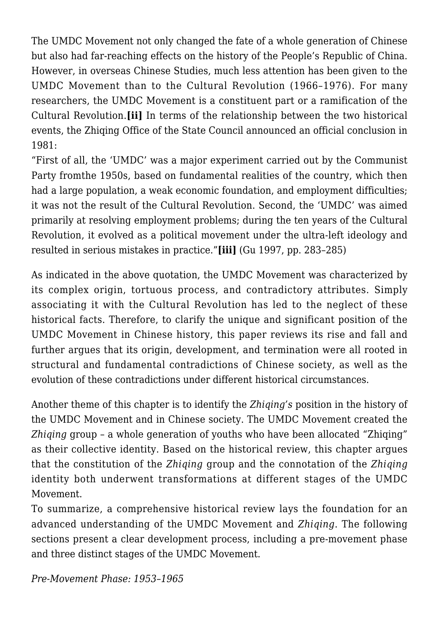The UMDC Movement not only changed the fate of a whole generation of Chinese but also had far-reaching effects on the history of the People's Republic of China. However, in overseas Chinese Studies, much less attention has been given to the UMDC Movement than to the Cultural Revolution (1966–1976). For many researchers, the UMDC Movement is a constituent part or a ramification of the Cultural Revolution.**[ii]** In terms of the relationship between the two historical events, the Zhiqing Office of the State Council announced an official conclusion in 1981:

"First of all, the 'UMDC' was a major experiment carried out by the Communist Party fromthe 1950s, based on fundamental realities of the country, which then had a large population, a weak economic foundation, and employment difficulties: it was not the result of the Cultural Revolution. Second, the 'UMDC' was aimed primarily at resolving employment problems; during the ten years of the Cultural Revolution, it evolved as a political movement under the ultra-left ideology and resulted in serious mistakes in practice."**[iii]** (Gu 1997, pp. 283–285)

As indicated in the above quotation, the UMDC Movement was characterized by its complex origin, tortuous process, and contradictory attributes. Simply associating it with the Cultural Revolution has led to the neglect of these historical facts. Therefore, to clarify the unique and significant position of the UMDC Movement in Chinese history, this paper reviews its rise and fall and further argues that its origin, development, and termination were all rooted in structural and fundamental contradictions of Chinese society, as well as the evolution of these contradictions under different historical circumstances.

Another theme of this chapter is to identify the *Zhiqing's* position in the history of the UMDC Movement and in Chinese society. The UMDC Movement created the *Zhiqing* group – a whole generation of youths who have been allocated "Zhiqing" as their collective identity. Based on the historical review, this chapter argues that the constitution of the *Zhiqing* group and the connotation of the *Zhiqing* identity both underwent transformations at different stages of the UMDC Movement.

To summarize, a comprehensive historical review lays the foundation for an advanced understanding of the UMDC Movement and *Zhiqing*. The following sections present a clear development process, including a pre-movement phase and three distinct stages of the UMDC Movement.

*Pre-Movement Phase: 1953–1965*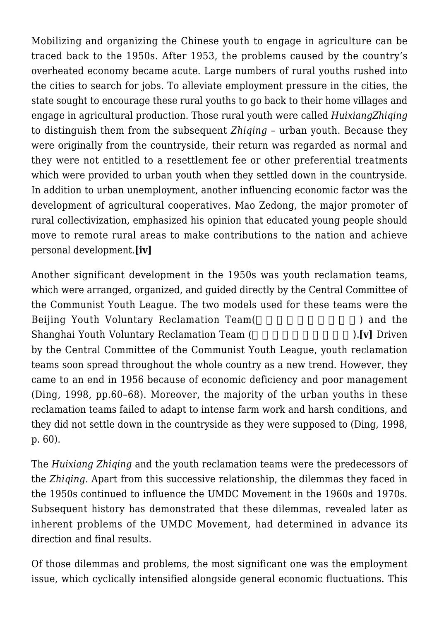Mobilizing and organizing the Chinese youth to engage in agriculture can be traced back to the 1950s. After 1953, the problems caused by the country's overheated economy became acute. Large numbers of rural youths rushed into the cities to search for jobs. To alleviate employment pressure in the cities, the state sought to encourage these rural youths to go back to their home villages and engage in agricultural production. Those rural youth were called *HuixiangZhiqing* to distinguish them from the subsequent *Zhiqing* – urban youth. Because they were originally from the countryside, their return was regarded as normal and they were not entitled to a resettlement fee or other preferential treatments which were provided to urban youth when they settled down in the countryside. In addition to urban unemployment, another influencing economic factor was the development of agricultural cooperatives. Mao Zedong, the major promoter of rural collectivization, emphasized his opinion that educated young people should move to remote rural areas to make contributions to the nation and achieve personal development.**[iv]**

Another significant development in the 1950s was youth reclamation teams, which were arranged, organized, and guided directly by the Central Committee of the Communist Youth League. The two models used for these teams were the Beijing Youth Voluntary Reclamation Team(
and the Shanghai Youth Voluntary Reclamation Team (
The state of  $\mathbf{v}$ ). **[v]** Driven by the Central Committee of the Communist Youth League, youth reclamation teams soon spread throughout the whole country as a new trend. However, they came to an end in 1956 because of economic deficiency and poor management (Ding, 1998, pp.60–68). Moreover, the majority of the urban youths in these reclamation teams failed to adapt to intense farm work and harsh conditions, and they did not settle down in the countryside as they were supposed to (Ding, 1998, p. 60).

The *Huixiang Zhiqing* and the youth reclamation teams were the predecessors of the *Zhiqing*. Apart from this successive relationship, the dilemmas they faced in the 1950s continued to influence the UMDC Movement in the 1960s and 1970s. Subsequent history has demonstrated that these dilemmas, revealed later as inherent problems of the UMDC Movement, had determined in advance its direction and final results.

Of those dilemmas and problems, the most significant one was the employment issue, which cyclically intensified alongside general economic fluctuations. This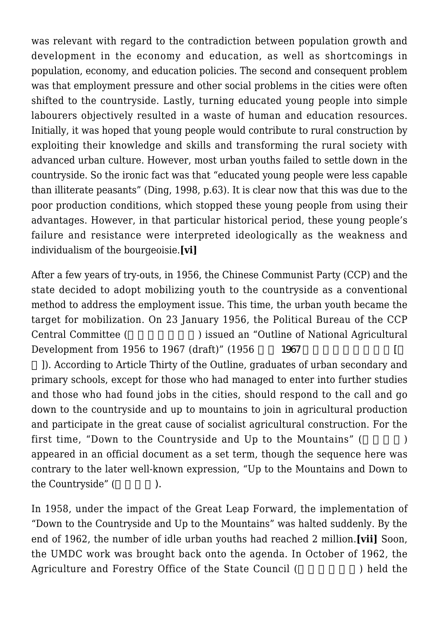was relevant with regard to the contradiction between population growth and development in the economy and education, as well as shortcomings in population, economy, and education policies. The second and consequent problem was that employment pressure and other social problems in the cities were often shifted to the countryside. Lastly, turning educated young people into simple labourers objectively resulted in a waste of human and education resources. Initially, it was hoped that young people would contribute to rural construction by exploiting their knowledge and skills and transforming the rural society with advanced urban culture. However, most urban youths failed to settle down in the countryside. So the ironic fact was that "educated young people were less capable than illiterate peasants" (Ding, 1998, p.63). It is clear now that this was due to the poor production conditions, which stopped these young people from using their advantages. However, in that particular historical period, these young people's failure and resistance were interpreted ideologically as the weakness and individualism of the bourgeoisie.**[vi]**

After a few years of try-outs, in 1956, the Chinese Communist Party (CCP) and the state decided to adopt mobilizing youth to the countryside as a conventional method to address the employment issue. This time, the urban youth became the target for mobilization. On 23 January 1956, the Political Bureau of the CCP Central Committee (
Fig. 2) issued an "Outline of National Agricultural Development from 1956 to 1967 (draft)"  $(1956 \t 1967)$ 

]). According to Article Thirty of the Outline, graduates of urban secondary and primary schools, except for those who had managed to enter into further studies and those who had found jobs in the cities, should respond to the call and go down to the countryside and up to mountains to join in agricultural production and participate in the great cause of socialist agricultural construction. For the first time, "Down to the Countryside and Up to the Mountains" (The Up to the Mountains" (The Up to the Mountains" (The Up to the Mountains" (The Up to the Mountains" (The Up to the Mountains" (The Up to the Up to the Up to appeared in an official document as a set term, though the sequence here was contrary to the later well-known expression, "Up to the Mountains and Down to the Countryside" (Fig. 2.1).

In 1958, under the impact of the Great Leap Forward, the implementation of "Down to the Countryside and Up to the Mountains" was halted suddenly. By the end of 1962, the number of idle urban youths had reached 2 million.**[vii]** Soon, the UMDC work was brought back onto the agenda. In October of 1962, the Agriculture and Forestry Office of the State Council (Separate 1) held the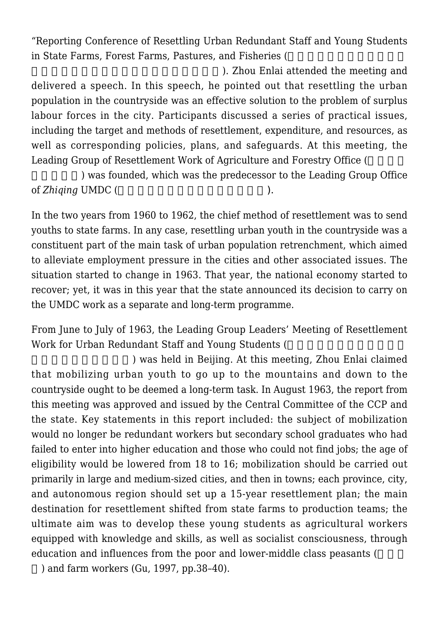"Reporting Conference of Resettling Urban Redundant Staff and Young Students in State Farms, Forest Farms, Pastures, and Fisheries (

). Zhou Enlai attended the meeting and delivered a speech. In this speech, he pointed out that resettling the urban population in the countryside was an effective solution to the problem of surplus labour forces in the city. Participants discussed a series of practical issues, including the target and methods of resettlement, expenditure, and resources, as well as corresponding policies, plans, and safeguards. At this meeting, the Leading Group of Resettlement Work of Agriculture and Forestry Office (

) was founded, which was the predecessor to the Leading Group Office of *Zhiging* UMDC (
a)

In the two years from 1960 to 1962, the chief method of resettlement was to send youths to state farms. In any case, resettling urban youth in the countryside was a constituent part of the main task of urban population retrenchment, which aimed to alleviate employment pressure in the cities and other associated issues. The situation started to change in 1963. That year, the national economy started to recover; yet, it was in this year that the state announced its decision to carry on the UMDC work as a separate and long-term programme.

From June to July of 1963, the Leading Group Leaders' Meeting of Resettlement Work for Urban Redundant Staff and Young Students (

) was held in Beijing. At this meeting, Zhou Enlai claimed that mobilizing urban youth to go up to the mountains and down to the countryside ought to be deemed a long-term task. In August 1963, the report from this meeting was approved and issued by the Central Committee of the CCP and the state. Key statements in this report included: the subject of mobilization would no longer be redundant workers but secondary school graduates who had failed to enter into higher education and those who could not find jobs; the age of eligibility would be lowered from 18 to 16; mobilization should be carried out primarily in large and medium-sized cities, and then in towns; each province, city, and autonomous region should set up a 15-year resettlement plan; the main destination for resettlement shifted from state farms to production teams; the ultimate aim was to develop these young students as agricultural workers equipped with knowledge and skills, as well as socialist consciousness, through education and influences from the poor and lower-middle class peasants (

) and farm workers (Gu, 1997, pp.38–40).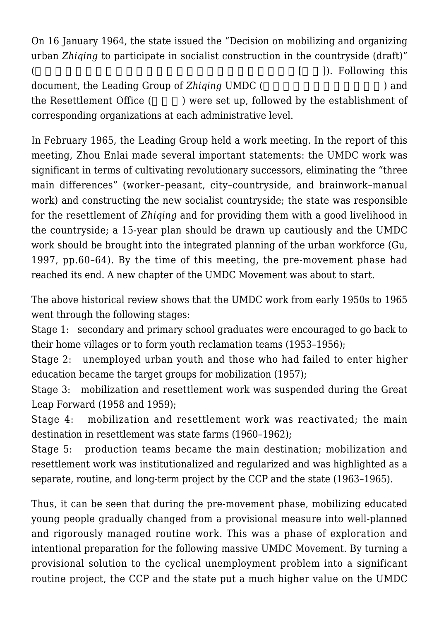On 16 January 1964, the state issued the "Decision on mobilizing and organizing urban *Zhiqing* to participate in socialist construction in the countryside (draft)"  $($  [  $)$ ]). Following this document, the Leading Group of *Zhiqing* UMDC ( ) and the Resettlement Office (  $\qquad$  ) were set up, followed by the establishment of corresponding organizations at each administrative level.

In February 1965, the Leading Group held a work meeting. In the report of this meeting, Zhou Enlai made several important statements: the UMDC work was significant in terms of cultivating revolutionary successors, eliminating the "three main differences" (worker–peasant, city–countryside, and brainwork–manual work) and constructing the new socialist countryside; the state was responsible for the resettlement of *Zhiqing* and for providing them with a good livelihood in the countryside; a 15-year plan should be drawn up cautiously and the UMDC work should be brought into the integrated planning of the urban workforce (Gu, 1997, pp.60–64). By the time of this meeting, the pre-movement phase had reached its end. A new chapter of the UMDC Movement was about to start.

The above historical review shows that the UMDC work from early 1950s to 1965 went through the following stages:

Stage 1: secondary and primary school graduates were encouraged to go back to their home villages or to form youth reclamation teams (1953–1956);

Stage 2: unemployed urban youth and those who had failed to enter higher education became the target groups for mobilization (1957);

Stage 3: mobilization and resettlement work was suspended during the Great Leap Forward (1958 and 1959);

Stage 4: mobilization and resettlement work was reactivated; the main destination in resettlement was state farms (1960–1962);

Stage 5: production teams became the main destination; mobilization and resettlement work was institutionalized and regularized and was highlighted as a separate, routine, and long-term project by the CCP and the state (1963–1965).

Thus, it can be seen that during the pre-movement phase, mobilizing educated young people gradually changed from a provisional measure into well-planned and rigorously managed routine work. This was a phase of exploration and intentional preparation for the following massive UMDC Movement. By turning a provisional solution to the cyclical unemployment problem into a significant routine project, the CCP and the state put a much higher value on the UMDC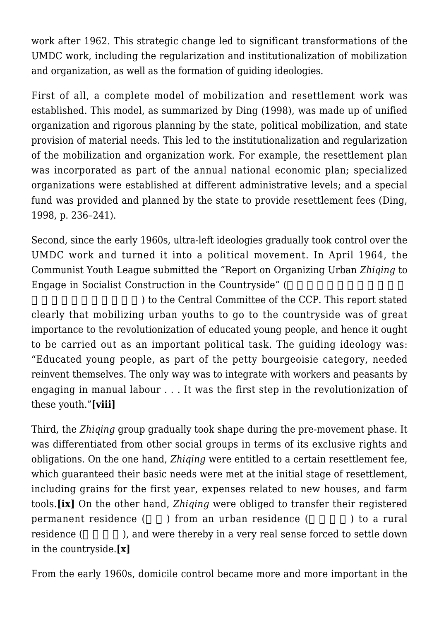work after 1962. This strategic change led to significant transformations of the UMDC work, including the regularization and institutionalization of mobilization and organization, as well as the formation of guiding ideologies.

First of all, a complete model of mobilization and resettlement work was established. This model, as summarized by Ding (1998), was made up of unified organization and rigorous planning by the state, political mobilization, and state provision of material needs. This led to the institutionalization and regularization of the mobilization and organization work. For example, the resettlement plan was incorporated as part of the annual national economic plan; specialized organizations were established at different administrative levels; and a special fund was provided and planned by the state to provide resettlement fees (Ding, 1998, p. 236–241).

Second, since the early 1960s, ultra-left ideologies gradually took control over the UMDC work and turned it into a political movement. In April 1964, the Communist Youth League submitted the "Report on Organizing Urban *Zhiqing* to Engage in Socialist Construction in the Countryside" (

) to the Central Committee of the CCP. This report stated clearly that mobilizing urban youths to go to the countryside was of great importance to the revolutionization of educated young people, and hence it ought to be carried out as an important political task. The guiding ideology was: "Educated young people, as part of the petty bourgeoisie category, needed reinvent themselves. The only way was to integrate with workers and peasants by engaging in manual labour . . . It was the first step in the revolutionization of these youth."**[viii]**

Third, the *Zhiqing* group gradually took shape during the pre-movement phase. It was differentiated from other social groups in terms of its exclusive rights and obligations. On the one hand, *Zhiqing* were entitled to a certain resettlement fee, which guaranteed their basic needs were met at the initial stage of resettlement, including grains for the first year, expenses related to new houses, and farm tools.**[ix]** On the other hand, *Zhiqing* were obliged to transfer their registered permanent residence () from an urban residence () to a rural residence (exceptional original very real sense forced to settle down in the countryside.**[x]**

From the early 1960s, domicile control became more and more important in the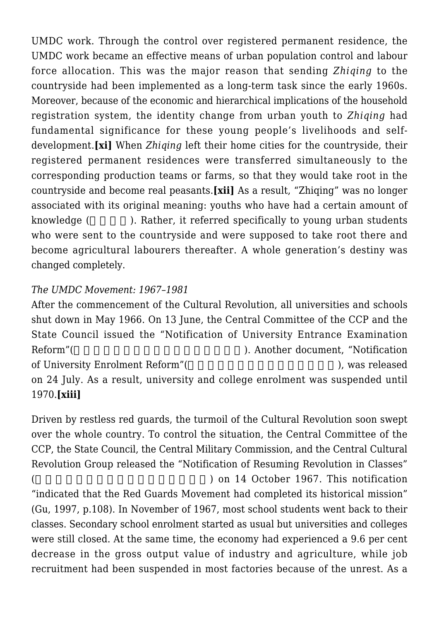UMDC work. Through the control over registered permanent residence, the UMDC work became an effective means of urban population control and labour force allocation. This was the major reason that sending *Zhiqing* to the countryside had been implemented as a long-term task since the early 1960s. Moreover, because of the economic and hierarchical implications of the household registration system, the identity change from urban youth to *Zhiqing* had fundamental significance for these young people's livelihoods and selfdevelopment.**[xi]** When *Zhiqing* left their home cities for the countryside, their registered permanent residences were transferred simultaneously to the corresponding production teams or farms, so that they would take root in the countryside and become real peasants.**[xii]** As a result, "Zhiqing" was no longer associated with its original meaning: youths who have had a certain amount of knowledge (  $\blacksquare$  ). Rather, it referred specifically to young urban students who were sent to the countryside and were supposed to take root there and become agricultural labourers thereafter. A whole generation's destiny was changed completely.

# *The UMDC Movement: 1967–1981*

After the commencement of the Cultural Revolution, all universities and schools shut down in May 1966. On 13 June, the Central Committee of the CCP and the State Council issued the "Notification of University Entrance Examination Reform"(
Notification  $\qquad \qquad$ ). Another document, "Notification of University Enrolment Reform"(
and the contract of University Enrolment Reform" (
and the contract of the contract of the contract of the contract of the contract of the contract of the contract of the contract of the co on 24 July. As a result, university and college enrolment was suspended until 1970.**[xiii]**

Driven by restless red guards, the turmoil of the Cultural Revolution soon swept over the whole country. To control the situation, the Central Committee of the CCP, the State Council, the Central Military Commission, and the Central Cultural Revolution Group released the "Notification of Resuming Revolution in Classes"  $($  and  $)$  on 14 October 1967. This notification "indicated that the Red Guards Movement had completed its historical mission" (Gu, 1997, p.108). In November of 1967, most school students went back to their classes. Secondary school enrolment started as usual but universities and colleges were still closed. At the same time, the economy had experienced a 9.6 per cent decrease in the gross output value of industry and agriculture, while job recruitment had been suspended in most factories because of the unrest. As a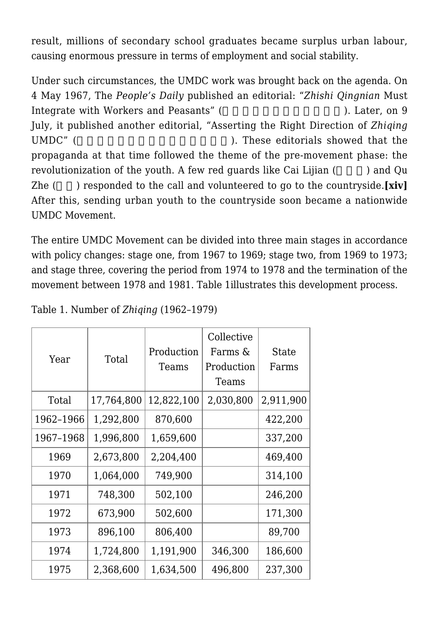result, millions of secondary school graduates became surplus urban labour, causing enormous pressure in terms of employment and social stability.

Under such circumstances, the UMDC work was brought back on the agenda. On 4 May 1967, The *People's Daily* published an editorial: "*Zhishi Qingnian* Must Integrate with Workers and Peasants" (
Theorem 2014). Later, on 9 July, it published another editorial, "Asserting the Right Direction of *Zhiqing* UMDC" ( Sample 1999). These editorials showed that the propaganda at that time followed the theme of the pre-movement phase: the revolutionization of the youth. A few red guards like Cai Lijian (Summer Column 2) and Qu Zhe (a) responded to the call and volunteered to go to the countryside.**[xiv]** After this, sending urban youth to the countryside soon became a nationwide UMDC Movement.

The entire UMDC Movement can be divided into three main stages in accordance with policy changes: stage one, from 1967 to 1969; stage two, from 1969 to 1973; and stage three, covering the period from 1974 to 1978 and the termination of the movement between 1978 and 1981. Table 1illustrates this development process.

| Year      | Total      | Production<br>Teams | Collective<br>Farms &<br>Production<br>Teams | <b>State</b><br>Farms |
|-----------|------------|---------------------|----------------------------------------------|-----------------------|
| Total     | 17,764,800 | 12,822,100          | 2,030,800                                    | 2,911,900             |
| 1962-1966 | 1,292,800  | 870,600             |                                              | 422,200               |
| 1967-1968 | 1,996,800  | 1,659,600           |                                              | 337,200               |
| 1969      | 2,673,800  | 2,204,400           |                                              | 469,400               |
| 1970      | 1,064,000  | 749,900             |                                              | 314,100               |
| 1971      | 748,300    | 502,100             |                                              | 246,200               |
| 1972      | 673,900    | 502,600             |                                              | 171,300               |
| 1973      | 896,100    | 806,400             |                                              | 89,700                |
| 1974      | 1,724,800  | 1,191,900           | 346,300                                      | 186,600               |
| 1975      | 2,368,600  | 1,634,500           | 496,800                                      | 237,300               |

Table 1. Number of *Zhiqing* (1962–1979)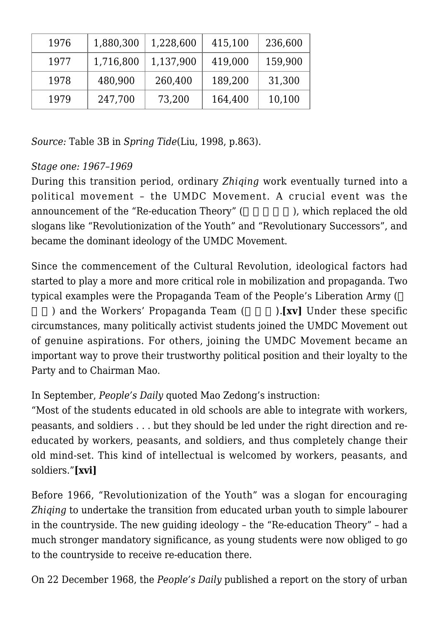| 1976 | 1,880,300 | 1,228,600 | 415,100 | 236,600 |
|------|-----------|-----------|---------|---------|
| 1977 | 1,716,800 | 1,137,900 | 419,000 | 159,900 |
| 1978 | 480,900   | 260,400   | 189,200 | 31,300  |
| 1979 | 247,700   | 73,200    | 164,400 | 10,100  |

*Source:* Table 3B in *Spring Tide*(Liu, 1998, p.863).

# *Stage one: 1967–1969*

During this transition period, ordinary *Zhiqing* work eventually turned into a political movement – the UMDC Movement. A crucial event was the announcement of the "Re-education Theory" (here is no involved that old sample of the old slogans like "Revolutionization of the Youth" and "Revolutionary Successors", and became the dominant ideology of the UMDC Movement.

Since the commencement of the Cultural Revolution, ideological factors had started to play a more and more critical role in mobilization and propaganda. Two typical examples were the Propaganda Team of the People's Liberation Army (

) and the Workers' Propaganda Team ().**[xv]** Under these specific circumstances, many politically activist students joined the UMDC Movement out of genuine aspirations. For others, joining the UMDC Movement became an important way to prove their trustworthy political position and their loyalty to the Party and to Chairman Mao.

# In September, *People's Daily* quoted Mao Zedong's instruction:

"Most of the students educated in old schools are able to integrate with workers, peasants, and soldiers . . . but they should be led under the right direction and reeducated by workers, peasants, and soldiers, and thus completely change their old mind-set. This kind of intellectual is welcomed by workers, peasants, and soldiers."**[xvi]**

Before 1966, "Revolutionization of the Youth" was a slogan for encouraging *Zhiqing* to undertake the transition from educated urban youth to simple labourer in the countryside. The new guiding ideology – the "Re-education Theory" – had a much stronger mandatory significance, as young students were now obliged to go to the countryside to receive re-education there.

On 22 December 1968, the *People's Daily* published a report on the story of urban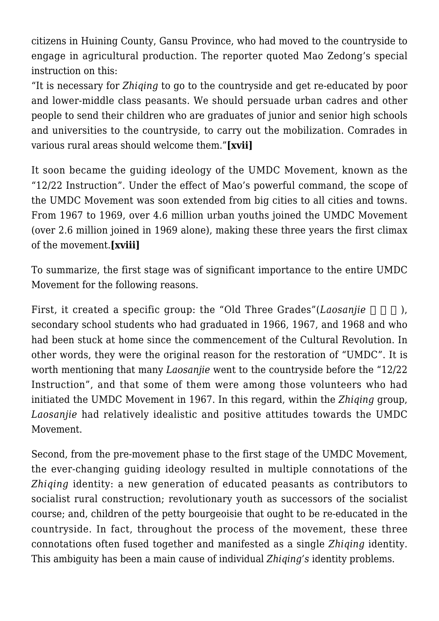citizens in Huining County, Gansu Province, who had moved to the countryside to engage in agricultural production. The reporter quoted Mao Zedong's special instruction on this:

"It is necessary for *Zhiqing* to go to the countryside and get re-educated by poor and lower-middle class peasants. We should persuade urban cadres and other people to send their children who are graduates of junior and senior high schools and universities to the countryside, to carry out the mobilization. Comrades in various rural areas should welcome them."**[xvii]**

It soon became the guiding ideology of the UMDC Movement, known as the "12/22 Instruction". Under the effect of Mao's powerful command, the scope of the UMDC Movement was soon extended from big cities to all cities and towns. From 1967 to 1969, over 4.6 million urban youths joined the UMDC Movement (over 2.6 million joined in 1969 alone), making these three years the first climax of the movement.**[xviii]**

To summarize, the first stage was of significant importance to the entire UMDC Movement for the following reasons.

First, it created a specific group: the "Old Three Grades"(*Laosanjie* ), secondary school students who had graduated in 1966, 1967, and 1968 and who had been stuck at home since the commencement of the Cultural Revolution. In other words, they were the original reason for the restoration of "UMDC". It is worth mentioning that many *Laosanjie* went to the countryside before the "12/22 Instruction", and that some of them were among those volunteers who had initiated the UMDC Movement in 1967. In this regard, within the *Zhiqing* group, *Laosanjie* had relatively idealistic and positive attitudes towards the UMDC Movement.

Second, from the pre-movement phase to the first stage of the UMDC Movement, the ever-changing guiding ideology resulted in multiple connotations of the *Zhiqing* identity: a new generation of educated peasants as contributors to socialist rural construction; revolutionary youth as successors of the socialist course; and, children of the petty bourgeoisie that ought to be re-educated in the countryside. In fact, throughout the process of the movement, these three connotations often fused together and manifested as a single *Zhiqing* identity. This ambiguity has been a main cause of individual *Zhiqing's* identity problems.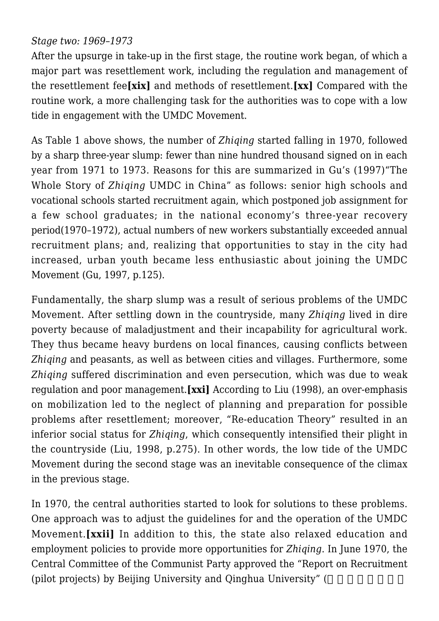## *Stage two: 1969–1973*

After the upsurge in take-up in the first stage, the routine work began, of which a major part was resettlement work, including the regulation and management of the resettlement fee**[xix]** and methods of resettlement.**[xx]** Compared with the routine work, a more challenging task for the authorities was to cope with a low tide in engagement with the UMDC Movement.

As Table 1 above shows, the number of *Zhiqing* started falling in 1970, followed by a sharp three-year slump: fewer than nine hundred thousand signed on in each year from 1971 to 1973. Reasons for this are summarized in Gu's (1997)"The Whole Story of *Zhiqing* UMDC in China" as follows: senior high schools and vocational schools started recruitment again, which postponed job assignment for a few school graduates; in the national economy's three-year recovery period(1970–1972), actual numbers of new workers substantially exceeded annual recruitment plans; and, realizing that opportunities to stay in the city had increased, urban youth became less enthusiastic about joining the UMDC Movement (Gu, 1997, p.125).

Fundamentally, the sharp slump was a result of serious problems of the UMDC Movement. After settling down in the countryside, many *Zhiqing* lived in dire poverty because of maladjustment and their incapability for agricultural work. They thus became heavy burdens on local finances, causing conflicts between *Zhiqing* and peasants, as well as between cities and villages. Furthermore, some *Zhiqing* suffered discrimination and even persecution, which was due to weak regulation and poor management.**[xxi]** According to Liu (1998), an over-emphasis on mobilization led to the neglect of planning and preparation for possible problems after resettlement; moreover, "Re-education Theory" resulted in an inferior social status for *Zhiqing*, which consequently intensified their plight in the countryside (Liu, 1998, p.275). In other words, the low tide of the UMDC Movement during the second stage was an inevitable consequence of the climax in the previous stage.

In 1970, the central authorities started to look for solutions to these problems. One approach was to adjust the guidelines for and the operation of the UMDC Movement.**[xxii]** In addition to this, the state also relaxed education and employment policies to provide more opportunities for *Zhiqing*. In June 1970, the Central Committee of the Communist Party approved the "Report on Recruitment (pilot projects) by Beijing University and Qinghua University" (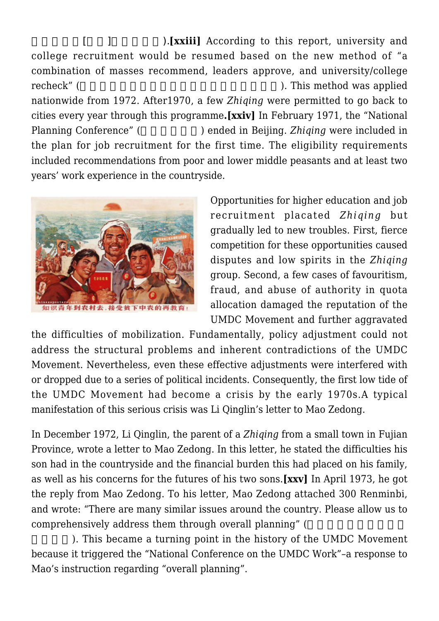[  $\blacksquare$  ). **[xxiii]** According to this report, university and college recruitment would be resumed based on the new method of "a combination of masses recommend, leaders approve, and university/college recheck" (
This method was applied  $\blacksquare$ nationwide from 1972. After1970, a few *Zhiqing* were permitted to go back to cities every year through this programme**.[xxiv]** In February 1971, the "National Planning Conference" () ended in Beijing. *Zhiqing* were included in the plan for job recruitment for the first time. The eligibility requirements included recommendations from poor and lower middle peasants and at least two years' work experience in the countryside.



Opportunities for higher education and job recruitment placated *Zhiqing* but gradually led to new troubles. First, fierce competition for these opportunities caused disputes and low spirits in the *Zhiqing* group. Second, a few cases of favouritism, fraud, and abuse of authority in quota allocation damaged the reputation of the UMDC Movement and further aggravated

the difficulties of mobilization. Fundamentally, policy adjustment could not address the structural problems and inherent contradictions of the UMDC Movement. Nevertheless, even these effective adjustments were interfered with or dropped due to a series of political incidents. Consequently, the first low tide of the UMDC Movement had become a crisis by the early 1970s.A typical manifestation of this serious crisis was Li Qinglin's letter to Mao Zedong.

In December 1972, Li Qinglin, the parent of a *Zhiqing* from a small town in Fujian Province, wrote a letter to Mao Zedong. In this letter, he stated the difficulties his son had in the countryside and the financial burden this had placed on his family, as well as his concerns for the futures of his two sons.**[xxv]** In April 1973, he got the reply from Mao Zedong. To his letter, Mao Zedong attached 300 Renminbi, and wrote: "There are many similar issues around the country. Please allow us to comprehensively address them through overall planning" (

). This became a turning point in the history of the UMDC Movement because it triggered the "National Conference on the UMDC Work"–a response to Mao's instruction regarding "overall planning".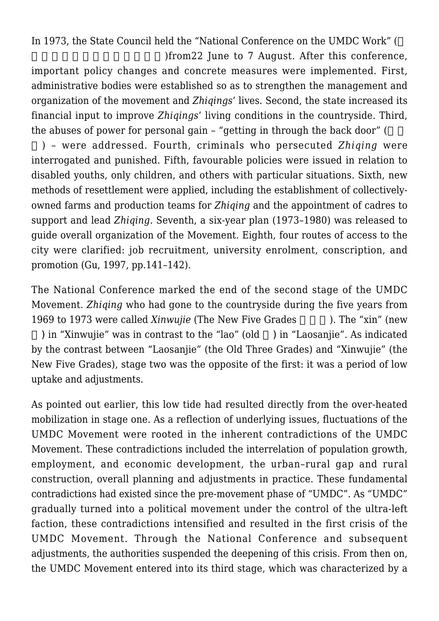In 1973, the State Council held the "National Conference on the UMDC Work" (

)from22 June to 7 August. After this conference, important policy changes and concrete measures were implemented. First, administrative bodies were established so as to strengthen the management and organization of the movement and *Zhiqings*' lives. Second, the state increased its financial input to improve *Zhiqings*' living conditions in the countryside. Third, the abuses of power for personal gain  $-$  "getting in through the back door" (

) – were addressed. Fourth, criminals who persecuted *Zhiqing* were interrogated and punished. Fifth, favourable policies were issued in relation to disabled youths, only children, and others with particular situations. Sixth, new methods of resettlement were applied, including the establishment of collectivelyowned farms and production teams for *Zhiqing* and the appointment of cadres to support and lead *Zhiqing*. Seventh, a six-year plan (1973–1980) was released to guide overall organization of the Movement. Eighth, four routes of access to the city were clarified: job recruitment, university enrolment, conscription, and promotion (Gu, 1997, pp.141–142).

The National Conference marked the end of the second stage of the UMDC Movement. *Zhiqing* who had gone to the countryside during the five years from 1969 to 1973 were called *Xinwujie* (The New Five Grades ). The "xin" (new ) in "Xinwujie" was in contrast to the "lao" (old  $\rightarrow$  ) in "Laosanjie". As indicated by the contrast between "Laosanjie" (the Old Three Grades) and "Xinwujie" (the New Five Grades), stage two was the opposite of the first: it was a period of low uptake and adjustments.

As pointed out earlier, this low tide had resulted directly from the over-heated mobilization in stage one. As a reflection of underlying issues, fluctuations of the UMDC Movement were rooted in the inherent contradictions of the UMDC Movement. These contradictions included the interrelation of population growth, employment, and economic development, the urban–rural gap and rural construction, overall planning and adjustments in practice. These fundamental contradictions had existed since the pre-movement phase of "UMDC". As "UMDC" gradually turned into a political movement under the control of the ultra-left faction, these contradictions intensified and resulted in the first crisis of the UMDC Movement. Through the National Conference and subsequent adjustments, the authorities suspended the deepening of this crisis. From then on, the UMDC Movement entered into its third stage, which was characterized by a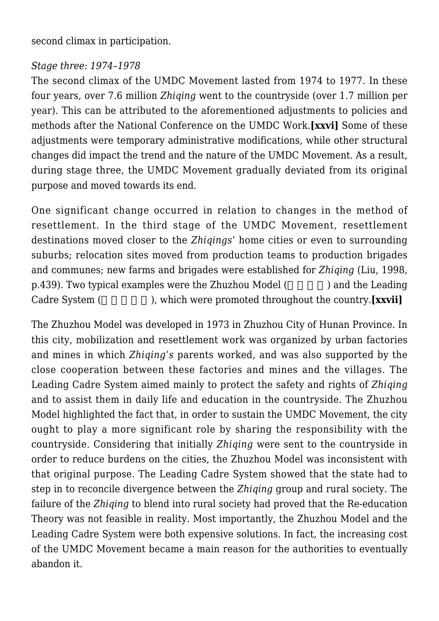second climax in participation.

## *Stage three: 1974–1978*

The second climax of the UMDC Movement lasted from 1974 to 1977. In these four years, over 7.6 million *Zhiqing* went to the countryside (over 1.7 million per year). This can be attributed to the aforementioned adjustments to policies and methods after the National Conference on the UMDC Work.**[xxvi]** Some of these adjustments were temporary administrative modifications, while other structural changes did impact the trend and the nature of the UMDC Movement. As a result, during stage three, the UMDC Movement gradually deviated from its original purpose and moved towards its end.

One significant change occurred in relation to changes in the method of resettlement. In the third stage of the UMDC Movement, resettlement destinations moved closer to the *Zhiqings*' home cities or even to surrounding suburbs; relocation sites moved from production teams to production brigades and communes; new farms and brigades were established for *Zhiqing* (Liu, 1998, p.439). Two typical examples were the Zhuzhou Model (a) and the Leading Cadre System (
Fig. ), which were promoted throughout the country.**[xxvii]** 

The Zhuzhou Model was developed in 1973 in Zhuzhou City of Hunan Province. In this city, mobilization and resettlement work was organized by urban factories and mines in which *Zhiqing's* parents worked, and was also supported by the close cooperation between these factories and mines and the villages. The Leading Cadre System aimed mainly to protect the safety and rights of *Zhiqing* and to assist them in daily life and education in the countryside. The Zhuzhou Model highlighted the fact that, in order to sustain the UMDC Movement, the city ought to play a more significant role by sharing the responsibility with the countryside. Considering that initially *Zhiqing* were sent to the countryside in order to reduce burdens on the cities, the Zhuzhou Model was inconsistent with that original purpose. The Leading Cadre System showed that the state had to step in to reconcile divergence between the *Zhiqing* group and rural society. The failure of the *Zhiqing* to blend into rural society had proved that the Re-education Theory was not feasible in reality. Most importantly, the Zhuzhou Model and the Leading Cadre System were both expensive solutions. In fact, the increasing cost of the UMDC Movement became a main reason for the authorities to eventually abandon it.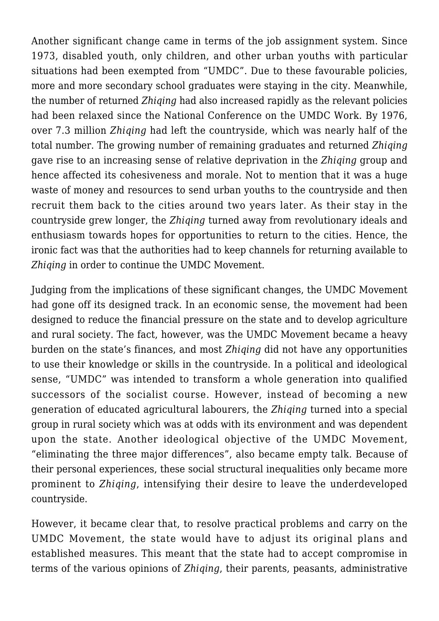Another significant change came in terms of the job assignment system. Since 1973, disabled youth, only children, and other urban youths with particular situations had been exempted from "UMDC". Due to these favourable policies, more and more secondary school graduates were staying in the city. Meanwhile, the number of returned *Zhiqing* had also increased rapidly as the relevant policies had been relaxed since the National Conference on the UMDC Work. By 1976, over 7.3 million *Zhiqing* had left the countryside, which was nearly half of the total number. The growing number of remaining graduates and returned *Zhiqing* gave rise to an increasing sense of relative deprivation in the *Zhiqing* group and hence affected its cohesiveness and morale. Not to mention that it was a huge waste of money and resources to send urban youths to the countryside and then recruit them back to the cities around two years later. As their stay in the countryside grew longer, the *Zhiqing* turned away from revolutionary ideals and enthusiasm towards hopes for opportunities to return to the cities. Hence, the ironic fact was that the authorities had to keep channels for returning available to *Zhiqing* in order to continue the UMDC Movement.

Judging from the implications of these significant changes, the UMDC Movement had gone off its designed track. In an economic sense, the movement had been designed to reduce the financial pressure on the state and to develop agriculture and rural society. The fact, however, was the UMDC Movement became a heavy burden on the state's finances, and most *Zhiqing* did not have any opportunities to use their knowledge or skills in the countryside. In a political and ideological sense, "UMDC" was intended to transform a whole generation into qualified successors of the socialist course. However, instead of becoming a new generation of educated agricultural labourers, the *Zhiqing* turned into a special group in rural society which was at odds with its environment and was dependent upon the state. Another ideological objective of the UMDC Movement, "eliminating the three major differences", also became empty talk. Because of their personal experiences, these social structural inequalities only became more prominent to *Zhiqing*, intensifying their desire to leave the underdeveloped countryside.

However, it became clear that, to resolve practical problems and carry on the UMDC Movement, the state would have to adjust its original plans and established measures. This meant that the state had to accept compromise in terms of the various opinions of *Zhiqing*, their parents, peasants, administrative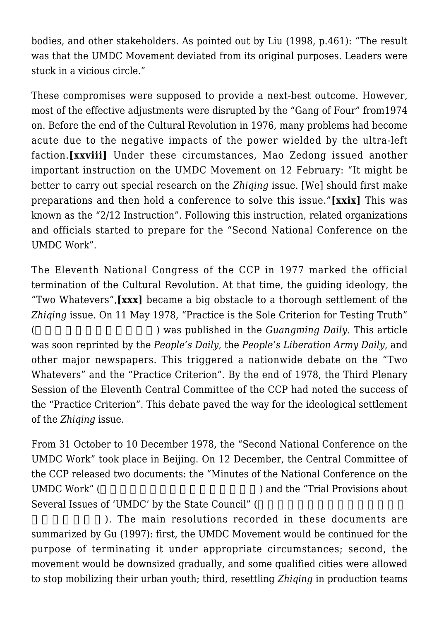bodies, and other stakeholders. As pointed out by Liu (1998, p.461): "The result was that the UMDC Movement deviated from its original purposes. Leaders were stuck in a vicious circle."

These compromises were supposed to provide a next-best outcome. However, most of the effective adjustments were disrupted by the "Gang of Four" from1974 on. Before the end of the Cultural Revolution in 1976, many problems had become acute due to the negative impacts of the power wielded by the ultra-left faction.**[xxviii]** Under these circumstances, Mao Zedong issued another important instruction on the UMDC Movement on 12 February: "It might be better to carry out special research on the *Zhiqing* issue. [We] should first make preparations and then hold a conference to solve this issue."**[xxix]** This was known as the "2/12 Instruction". Following this instruction, related organizations and officials started to prepare for the "Second National Conference on the UMDC Work".

The Eleventh National Congress of the CCP in 1977 marked the official termination of the Cultural Revolution. At that time, the guiding ideology, the "Two Whatevers",**[xxx]** became a big obstacle to a thorough settlement of the *Zhiqing* issue. On 11 May 1978, "Practice is the Sole Criterion for Testing Truth" (
b) was published in the *Guangming Daily*. This article was soon reprinted by the *People's Daily*, the *People's Liberation Army Daily*, and other major newspapers. This triggered a nationwide debate on the "Two Whatevers" and the "Practice Criterion". By the end of 1978, the Third Plenary Session of the Eleventh Central Committee of the CCP had noted the success of the "Practice Criterion". This debate paved the way for the ideological settlement of the *Zhiqing* issue.

From 31 October to 10 December 1978, the "Second National Conference on the UMDC Work" took place in Beijing. On 12 December, the Central Committee of the CCP released two documents: the "Minutes of the National Conference on the UMDC Work" (
EPSILO 1999) and the "Trial Provisions about Several Issues of 'UMDC' by the State Council" (

). The main resolutions recorded in these documents are summarized by Gu (1997): first, the UMDC Movement would be continued for the purpose of terminating it under appropriate circumstances; second, the movement would be downsized gradually, and some qualified cities were allowed to stop mobilizing their urban youth; third, resettling *Zhiqing* in production teams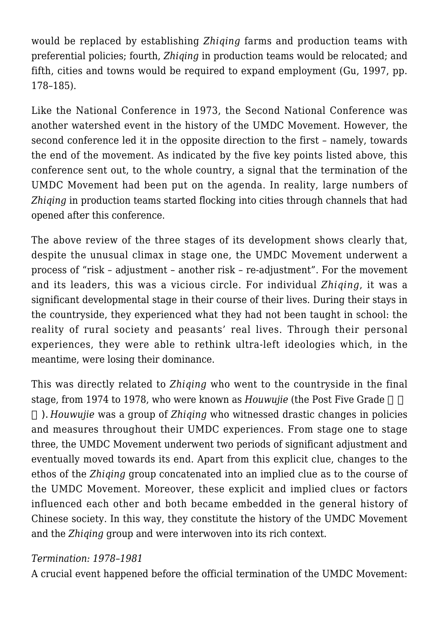would be replaced by establishing *Zhiqing* farms and production teams with preferential policies; fourth, *Zhiqing* in production teams would be relocated; and fifth, cities and towns would be required to expand employment (Gu, 1997, pp. 178–185).

Like the National Conference in 1973, the Second National Conference was another watershed event in the history of the UMDC Movement. However, the second conference led it in the opposite direction to the first – namely, towards the end of the movement. As indicated by the five key points listed above, this conference sent out, to the whole country, a signal that the termination of the UMDC Movement had been put on the agenda. In reality, large numbers of *Zhiqing* in production teams started flocking into cities through channels that had opened after this conference.

The above review of the three stages of its development shows clearly that, despite the unusual climax in stage one, the UMDC Movement underwent a process of "risk – adjustment – another risk – re-adjustment". For the movement and its leaders, this was a vicious circle. For individual *Zhiqing*, it was a significant developmental stage in their course of their lives. During their stays in the countryside, they experienced what they had not been taught in school: the reality of rural society and peasants' real lives. Through their personal experiences, they were able to rethink ultra-left ideologies which, in the meantime, were losing their dominance.

This was directly related to *Zhiqing* who went to the countryside in the final stage, from 1974 to 1978, who were known as *Houwujie* (the Post Five Grade

届). *Houwujie* was a group of *Zhiqing* who witnessed drastic changes in policies and measures throughout their UMDC experiences. From stage one to stage three, the UMDC Movement underwent two periods of significant adjustment and eventually moved towards its end. Apart from this explicit clue, changes to the ethos of the *Zhiqing* group concatenated into an implied clue as to the course of the UMDC Movement. Moreover, these explicit and implied clues or factors influenced each other and both became embedded in the general history of Chinese society. In this way, they constitute the history of the UMDC Movement and the *Zhiqing* group and were interwoven into its rich context.

#### *Termination: 1978–1981*

A crucial event happened before the official termination of the UMDC Movement: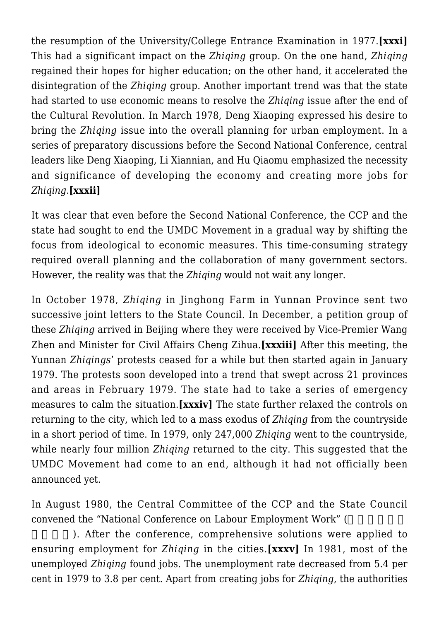the resumption of the University/College Entrance Examination in 1977.**[xxxi]** This had a significant impact on the *Zhiqing* group. On the one hand, *Zhiqing* regained their hopes for higher education; on the other hand, it accelerated the disintegration of the *Zhiging* group. Another important trend was that the state had started to use economic means to resolve the *Zhiqing* issue after the end of the Cultural Revolution. In March 1978, Deng Xiaoping expressed his desire to bring the *Zhiqing* issue into the overall planning for urban employment. In a series of preparatory discussions before the Second National Conference, central leaders like Deng Xiaoping, Li Xiannian, and Hu Qiaomu emphasized the necessity and significance of developing the economy and creating more jobs for *Zhiqing*.**[xxxii]**

It was clear that even before the Second National Conference, the CCP and the state had sought to end the UMDC Movement in a gradual way by shifting the focus from ideological to economic measures. This time-consuming strategy required overall planning and the collaboration of many government sectors. However, the reality was that the *Zhiqing* would not wait any longer.

In October 1978, *Zhiqing* in Jinghong Farm in Yunnan Province sent two successive joint letters to the State Council. In December, a petition group of these *Zhiqing* arrived in Beijing where they were received by Vice-Premier Wang Zhen and Minister for Civil Affairs Cheng Zihua.**[xxxiii]** After this meeting, the Yunnan *Zhiqings*' protests ceased for a while but then started again in January 1979. The protests soon developed into a trend that swept across 21 provinces and areas in February 1979. The state had to take a series of emergency measures to calm the situation.**[xxxiv]** The state further relaxed the controls on returning to the city, which led to a mass exodus of *Zhiqing* from the countryside in a short period of time. In 1979, only 247,000 *Zhiqing* went to the countryside, while nearly four million *Zhiqing* returned to the city. This suggested that the UMDC Movement had come to an end, although it had not officially been announced yet.

In August 1980, the Central Committee of the CCP and the State Council convened the "National Conference on Labour Employment Work" (

). After the conference, comprehensive solutions were applied to ensuring employment for *Zhiqing* in the cities.**[xxxv]** In 1981, most of the unemployed *Zhiqing* found jobs. The unemployment rate decreased from 5.4 per cent in 1979 to 3.8 per cent. Apart from creating jobs for *Zhiqing*, the authorities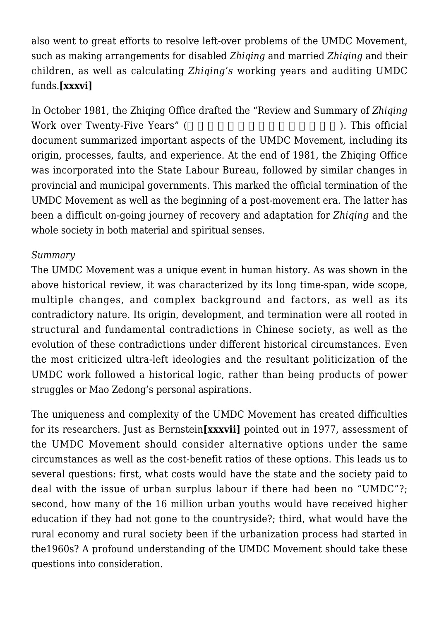also went to great efforts to resolve left-over problems of the UMDC Movement, such as making arrangements for disabled *Zhiqing* and married *Zhiqing* and their children, as well as calculating *Zhiqing's* working years and auditing UMDC funds.**[xxxvi]**

In October 1981, the Zhiqing Office drafted the "Review and Summary of *Zhiqing* Work over Twenty-Five Years" (2008) (2008). This official document summarized important aspects of the UMDC Movement, including its origin, processes, faults, and experience. At the end of 1981, the Zhiqing Office was incorporated into the State Labour Bureau, followed by similar changes in provincial and municipal governments. This marked the official termination of the UMDC Movement as well as the beginning of a post-movement era. The latter has been a difficult on-going journey of recovery and adaptation for *Zhiqing* and the whole society in both material and spiritual senses.

# *Summary*

The UMDC Movement was a unique event in human history. As was shown in the above historical review, it was characterized by its long time-span, wide scope, multiple changes, and complex background and factors, as well as its contradictory nature. Its origin, development, and termination were all rooted in structural and fundamental contradictions in Chinese society, as well as the evolution of these contradictions under different historical circumstances. Even the most criticized ultra-left ideologies and the resultant politicization of the UMDC work followed a historical logic, rather than being products of power struggles or Mao Zedong's personal aspirations.

The uniqueness and complexity of the UMDC Movement has created difficulties for its researchers. Just as Bernstein**[xxxvii]** pointed out in 1977, assessment of the UMDC Movement should consider alternative options under the same circumstances as well as the cost-benefit ratios of these options. This leads us to several questions: first, what costs would have the state and the society paid to deal with the issue of urban surplus labour if there had been no "UMDC"?; second, how many of the 16 million urban youths would have received higher education if they had not gone to the countryside?; third, what would have the rural economy and rural society been if the urbanization process had started in the1960s? A profound understanding of the UMDC Movement should take these questions into consideration.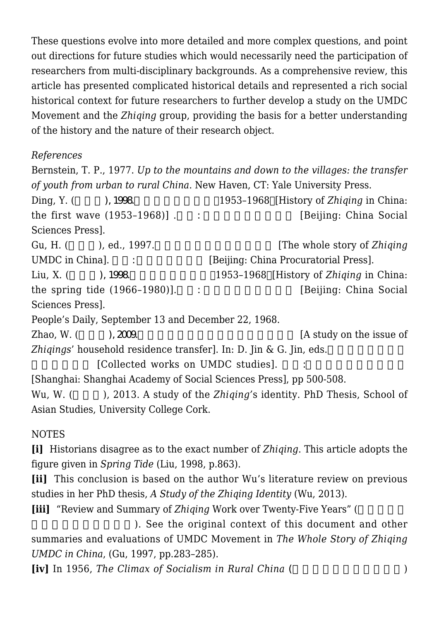These questions evolve into more detailed and more complex questions, and point out directions for future studies which would necessarily need the participation of researchers from multi-disciplinary backgrounds. As a comprehensive review, this article has presented complicated historical details and represented a rich social historical context for future researchers to further develop a study on the UMDC Movement and the *Zhiqing* group, providing the basis for a better understanding of the history and the nature of their research object.

*References*

Bernstein, T. P., 1977. *Up to the mountains and down to the villages: the transfer of youth from urban to rural China*. New Haven, CT: Yale University Press. Ding, Y. (∩2098. 1998. 1953–1968)[History of *Zhiging* in China: the first wave  $(1953-1968)$ ] .  $\qquad \qquad$  [Beijing: China Social] Sciences Press]. Gu, H. (co., ed., 1997.). UMDC in China].  $\vdots$  [Beijing: China Procuratorial Press]. Liu, X. (∩), 1998. 1953–1968∏History of *Zhiqing* in China: the spring tide  $(1966-1980)$ ].  $\qquad \qquad$ : [Beijing: China Social] Sciences Press]. People's Daily, September 13 and December 22, 1968. Zhao, W. (  $2009$ .  $2009$ *Zhigings'* household residence transfer]. In: D. Jin & G. Jin, eds. [Collected works on UMDC studies]. [Shanghai: Shanghai Academy of Social Sciences Press], pp 500-508. Wu, W. () 2013. A study of the *Zhiging's* identity. PhD Thesis, School of Asian Studies, University College Cork.

NOTES

**[i]** Historians disagree as to the exact number of *Zhiqing*. This article adopts the figure given in *Spring Tide* (Liu, 1998, p.863).

**[ii]** This conclusion is based on the author Wu's literature review on previous studies in her PhD thesis, *A Study of the Zhiqing Identity* (Wu, 2013).

**[iii]** "Review and Summary of *Zhiqing* Work over Twenty-Five Years" (

). See the original context of this document and other summaries and evaluations of UMDC Movement in *The Whole Story of Zhiqing UMDC in China*, (Gu, 1997, pp.283–285).

**[iv]** In 1956, *The Climax of Socialism in Rural China* (enterprise only and  $\overline{P}$ )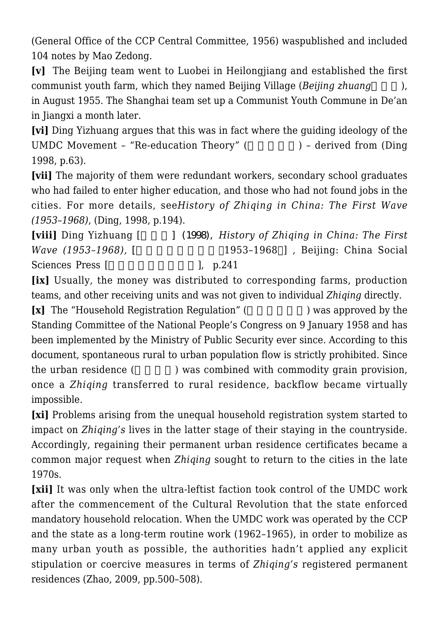(General Office of the CCP Central Committee, 1956) waspublished and included 104 notes by Mao Zedong.

**[v]** The Beijing team went to Luobei in Heilongjiang and established the first communist youth farm, which they named Beijing Village (*Beijing zhuang*  $\ldots$ ),

in August 1955. The Shanghai team set up a Communist Youth Commune in De'an in Jiangxi a month later.

**[vi]** Ding Yizhuang argues that this was in fact where the guiding ideology of the UMDC Movement - "Re-education Theory"  $($   $)$  - derived from (Ding 1998, p.63).

**[vii]** The majority of them were redundant workers, secondary school graduates who had failed to enter higher education, and those who had not found jobs in the cities. For more details, see*History of Zhiqing in China: The First Wave (1953–1968)*, (Ding, 1998, p.194).

**[viii]** Ding Yizhuang [and late 1 (1998), *History of Zhiqing in China: The First Wave* (1953–1968), [The match [1953–1968]], Beijing: China Social Sciences Press [http://www.factor.com/discrete local points in p.241 and the local points of the local points in points in provide the local points in points in points in points in points in points in points in points in p

**[ix]** Usually, the money was distributed to corresponding farms, production teams, and other receiving units and was not given to individual *Zhiqing* directly.

**[x]** The "Household Registration Regulation" (Depending the subset of by the  $\overline{P}$ Standing Committee of the National People's Congress on 9 January 1958 and has been implemented by the Ministry of Public Security ever since. According to this document, spontaneous rural to urban population flow is strictly prohibited. Since the urban residence (according to an overly was combined with commodity grain provision, once a *Zhiqing* transferred to rural residence, backflow became virtually impossible.

**[xi]** Problems arising from the unequal household registration system started to impact on *Zhiqing's* lives in the latter stage of their staying in the countryside. Accordingly, regaining their permanent urban residence certificates became a common major request when *Zhiqing* sought to return to the cities in the late 1970s.

**[xii]** It was only when the ultra-leftist faction took control of the UMDC work after the commencement of the Cultural Revolution that the state enforced mandatory household relocation. When the UMDC work was operated by the CCP and the state as a long-term routine work (1962–1965), in order to mobilize as many urban youth as possible, the authorities hadn't applied any explicit stipulation or coercive measures in terms of *Zhiqing's* registered permanent residences (Zhao, 2009, pp.500–508).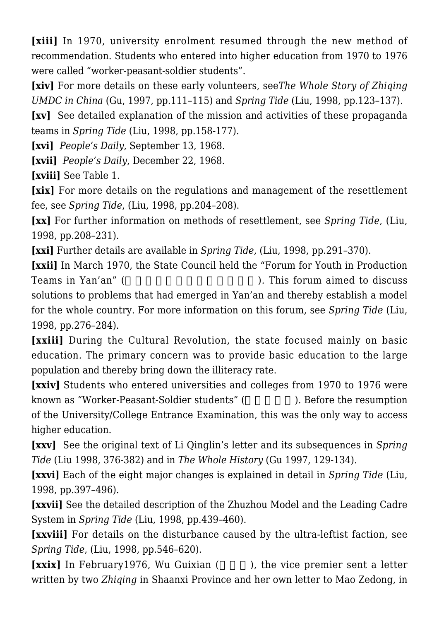**[xiii]** In 1970, university enrolment resumed through the new method of recommendation. Students who entered into higher education from 1970 to 1976 were called "worker-peasant-soldier students".

**[xiv]** For more details on these early volunteers, see*The Whole Story of Zhiqing UMDC in China* (Gu, 1997, pp.111–115) and *Spring Tide* (Liu, 1998, pp.123–137).

**[xv]** See detailed explanation of the mission and activities of these propaganda teams in *Spring Tide* (Liu, 1998, pp.158-177).

**[xvi]** *People's Daily*, September 13, 1968.

**[xvii]** *People's Daily*, December 22, 1968.

**[xviii]** See Table 1.

**[xix]** For more details on the regulations and management of the resettlement fee, see *Spring Tide*, (Liu, 1998, pp.204–208).

**[xx]** For further information on methods of resettlement, see *Spring Tide*, (Liu, 1998, pp.208–231).

**[xxi]** Further details are available in *Spring Tide*, (Liu, 1998, pp.291–370).

**[xxii]** In March 1970, the State Council held the "Forum for Youth in Production" Teams in Yan'an" (
Teams in Yan'an'' (
This forum aimed to discuss solutions to problems that had emerged in Yan'an and thereby establish a model for the whole country. For more information on this forum, see *Spring Tide* (Liu, 1998, pp.276–284).

**[xxiii]** During the Cultural Revolution, the state focused mainly on basic education. The primary concern was to provide basic education to the large population and thereby bring down the illiteracy rate.

**[xxiv]** Students who entered universities and colleges from 1970 to 1976 were known as "Worker-Peasant-Soldier students" (Superior the resumption is now that is not as "Worker-Peasant-Soldier students" (Superior is not in the resumption of the University/College Entrance Examination, this was the only way to access higher education.

**[xxv]** See the original text of Li Qinglin's letter and its subsequences in *Spring Tide* (Liu 1998, 376-382) and in *The Whole History* (Gu 1997, 129-134).

**[xxvi]** Each of the eight major changes is explained in detail in *Spring Tide* (Liu, 1998, pp.397–496).

**[xxvii]** See the detailed description of the Zhuzhou Model and the Leading Cadre System in *Spring Tide* (Liu, 1998, pp.439–460).

**[xxviii]** For details on the disturbance caused by the ultra-leftist faction, see *Spring Tide*, (Liu, 1998, pp.546–620).

**[xxix]** In February1976, Wu Guixian (), the vice premier sent a letter written by two *Zhiqing* in Shaanxi Province and her own letter to Mao Zedong, in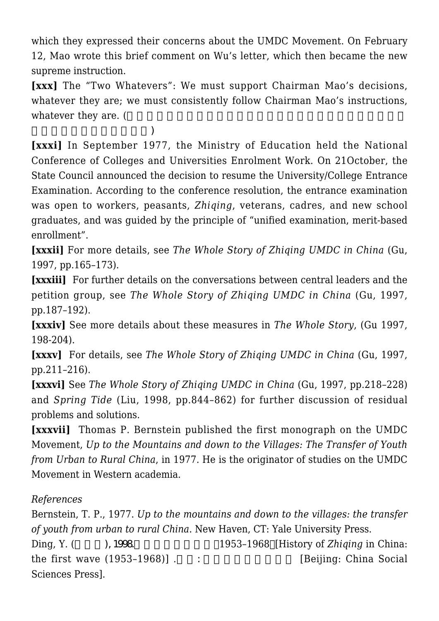which they expressed their concerns about the UMDC Movement. On February 12, Mao wrote this brief comment on Wu's letter, which then became the new supreme instruction.

**[xxx]** The "Two Whatevers": We must support Chairman Mao's decisions, whatever they are; we must consistently follow Chairman Mao's instructions. whatever they are. (

 $)$ **[xxxi]** In September 1977, the Ministry of Education held the National Conference of Colleges and Universities Enrolment Work. On 21October, the State Council announced the decision to resume the University/College Entrance Examination. According to the conference resolution, the entrance examination was open to workers, peasants, *Zhiqing*, veterans, cadres, and new school graduates, and was guided by the principle of "unified examination, merit-based enrollment".

**[xxxii]** For more details, see *The Whole Story of Zhiqing UMDC in China* (Gu, 1997, pp.165–173).

**[xxxiii]** For further details on the conversations between central leaders and the petition group, see *The Whole Story of Zhiqing UMDC in China* (Gu, 1997, pp.187–192).

**[xxxiv]** See more details about these measures in *The Whole Story*, (Gu 1997, 198-204).

**[xxxv]** For details, see *The Whole Story of Zhiqing UMDC in China* (Gu, 1997, pp.211–216).

**[xxxvi]** See *The Whole Story of Zhiqing UMDC in China* (Gu, 1997, pp.218–228) and *Spring Tide* (Liu, 1998, pp.844–862) for further discussion of residual problems and solutions.

**[xxxvii]** Thomas P. Bernstein published the first monograph on the UMDC Movement, *Up to the Mountains and down to the Villages: The Transfer of Youth from Urban to Rural China*, in 1977. He is the originator of studies on the UMDC Movement in Western academia.

# *References*

Bernstein, T. P., 1977. *Up to the mountains and down to the villages: the transfer of youth from urban to rural China*. New Haven, CT: Yale University Press. Ding, Y. (2008. → 1998. → 1953–1968 and *Ding*, Y. (2018. → 1998. → 1953–1968 and *Zhiqing* in China: the first wave  $(1953-1968)$ ] .  $\qquad \qquad$  [Beijing: China Social] Sciences Press].